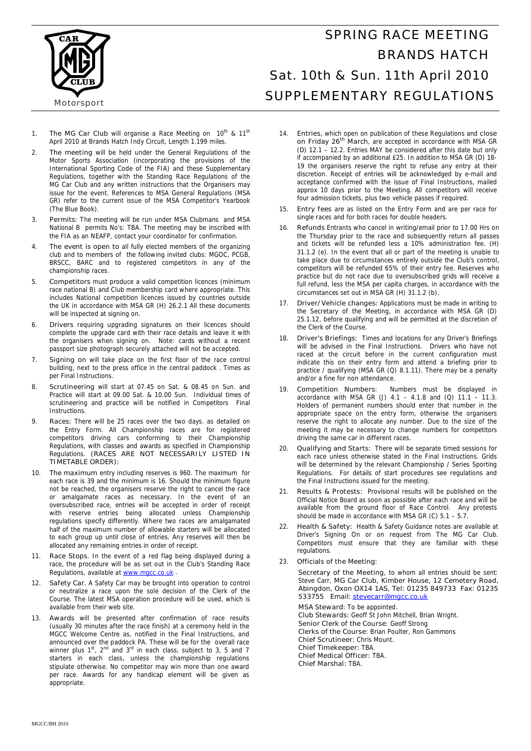

## SPRING RACE MEETING BRANDS HATCH Sat. 10th & Sun. 11th April 2010 SUPPLEMENTARY REGULATIONS

- 1. **The MG Car Club** will organise a Race Meeting on  $10^{th}$  &  $11^{th}$ April 2010 at Brands Hatch Indy Circuit, Length 1.199 miles.
- 2. **The meeting** will be held under the General Regulations of the Motor Sports Association (incorporating the provisions of the International Sporting Code of the FIA) and these Supplementary Regulations, together with the Standing Race Regulations of the MG Car Club and any written instructions that the Organisers may issue for the event. References to MSA General Regulations (MSA GR) refer to the current issue of the MSA Competitor's Yearbook (The Blue Book).
- 3. **Permits**: The meeting will be run under MSA Clubmans and MSA National B permits No's: TBA. The meeting may be inscribed with the FIA as an NEAFP, contact your coordinator for confirmation.
- 4. **The event is open to** all fully elected members of the organizing club and to members of the following invited clubs: MGOC, PCGB, BRSCC, BARC and to registered competitors in any of the championship races.
- 5. **Competitors** must produce a valid competition licences (minimum race national B) and Club membership card where appropriate. This includes National competition licences issued by countries outside the UK in accordance with MSA GR (H) 26.2.1 All these documents will be inspected at signing on.
- 6. **Drivers** requiring upgrading signatures on their licences should complete the upgrade card with their race details and leave it with the organisers when signing on. Note: cards without a recent passport size photograph securely attached will not be accepted.
- 7. **Signing on** will take place on the first floor of the race control building, next to the press office in the central paddock **.** Times as per Final Instructions.
- 8. **Scrutineering** will start at 07.45 on Sat. & 08.45 on Sun. and Practice will start at 09.00 Sat. & 10.00 Sun. Individual times of scrutineering and practice will be notified in Competitors Final Instructions.
- 9. **Races:** There will be 25 races over the two days. as detailed on the Entry Form. All Championship races are for registered competitors driving cars conforming to their Championship Regulations, with classes and awards as specified in Championship Regulations. **(RACES ARE NOT NECESSARILY LISTED IN TIMETABLE ORDER):**
- 10. **The maximum** entry including reserves is 960. The maximum for each race is 39 and the minimum is 16. Should the minimum figure not be reached, the organisers reserve the right to cancel the race or amalgamate races as necessary. In the event of an oversubscribed race, entries will be accepted in order of receipt with reserve entries being allocated unless Championship regulations specify differently. Where two races are amalgamated half of the maximum number of allowable starters will be allocated to each group up until close of entries. Any reserves will then be allocated any remaining entries in order of receipt.
- 11. **Race Stops.** In the event of a red flag being displayed during a race, the procedure will be as set out in the Club's Standing Race Regulations, available at www.mgcc.co.uk
- 12. **Safety Car.** A Safety Car may be brought into operation to control or neutralize a race upon the sole decision of the Clerk of the Course. The latest MSA operation procedure will be used, which is available from their web site.
- Awards will be presented after confirmation of race results (usually 30 minutes after the race finish) at a ceremony held in the MGCC Welcome Centre as, notified in the Final Instructions, and announced over the paddock PA. These will be for the overall race<br>winner plus 1<sup>st</sup>, 2<sup>nd</sup> and 3<sup>rd</sup> in each class, subject to 3, 5 and 7 starters in each class, unless the championship regulations stipulate otherwise. No competitor may win more than one award per race. Awards for any handicap element will be given as appropriate.
- 14. **Entries,** which open on publication of these Regulations and **close on Friday 26th March**, are accepted in accordance with MSA GR (D) 12.1 – 12.2. Entries MAY be considered after this date but only if accompanied by an additional £25. In addition to MSA GR (D) 18- 19 the organisers reserve the right to refuse any entry at their discretion. Receipt of entries will be acknowledged by e-mail and acceptance confirmed with the issue of Final Instructions, mailed approx 10 days prior to the Meeting. All competitors will receive four admission tickets, plus two vehicle passes if required.
- 15. **Entry fees** are as listed on the Entry Form and are per race for single races and for both races for double headers.
- 16. **Refunds** Entrants who cancel in writing/email prior to 17.00 Hrs on the Thursday prior to the race and subsequently return all passes and tickets will be refunded less a 10% administration fee. (H) 31.1.2 (e). In the event that all or part of the meeting is unable to take place due to circumstances entirely outside the Club's control, competitors will be refunded 65% of their entry fee. Reserves who practice but do not race due to oversubscribed grids will receive a full refund, less the MSA per capita charges, in accordance with the circumstances set out in MSA GR (H) 31.1.2 (b).
- 17. **Driver/Vehicle changes:** Applications must be made in writing to the Secretary of the Meeting, in accordance with MSA GR (D) 25.1.12, before qualifying and will be permitted at the discretion of the Clerk of the Course.
- 18. **Driver's Briefings:** Times and locations for any Driver's Briefings will be advised in the Final Instructions. Drivers who have not raced at the circuit before in the current configuration must indicate this on their entry form and attend a briefing prior to practice / qualifying (MSA GR (Q) 8.1.11). There may be a penalty and/or a fine for non attendance.
- 19. **Competition Numbers:** Numbers must be displayed in accordance with MSA GR (J)  $4.1 - 4.1.8$  and (Q)  $11.1 - 11.3$ . Holders of permanent numbers should enter that number in the appropriate space on the entry form, otherwise the organisers reserve the right to allocate any number. Due to the size of the meeting it may be necessary to change numbers for competitors driving the same car in different races.
- 20. **Qualifying and Starts:** There will be separate timed sessions for each race unless otherwise stated in the Final Instructions. Grids will be determined by the relevant Championship / Series Sporting Regulations. For details of start procedures see regulations and the Final Instructions issued for the meeting.
- 21. **Results & Protests:** Provisional results will be published on the Official Notice Board as soon as possible after each race and will be available from the ground floor of Race Control. Any protests should be made in accordance with MSA GR (C)  $5.1 - 5.7$
- 22. **Health & Safety:** Health & Safety Guidance notes are available at Driver's Signing On or on request from The MG Car Club. Competitors must ensure that they are familiar with these regulations.
- 23. **Officials of the Meeting:**

 **Secretary of the Meeting**, to whom all entries should be sent: Steve Carr, **MG Car Club, Kimber House, 12 Cemetery Road, Abingdon, Oxon OX14 1AS, Tel: 01235 849733 Fax: 01235 533755 Email: stevecarr@mgcc.co.uk**

**MSA Steward:** To be appointed. **Club Stewards:** Geoff St John Mitchell, Brian Wright. **Senior Clerk of the Course**: Geoff Strong **Clerks of the Course:** Brian Poulter, Ron Gammons **Chief Scrutineer:** Chris Mount. **Chief Timekeeper:** TBA. **Chief Medical Officer:** TBA. **Chief Marshal:** TBA.